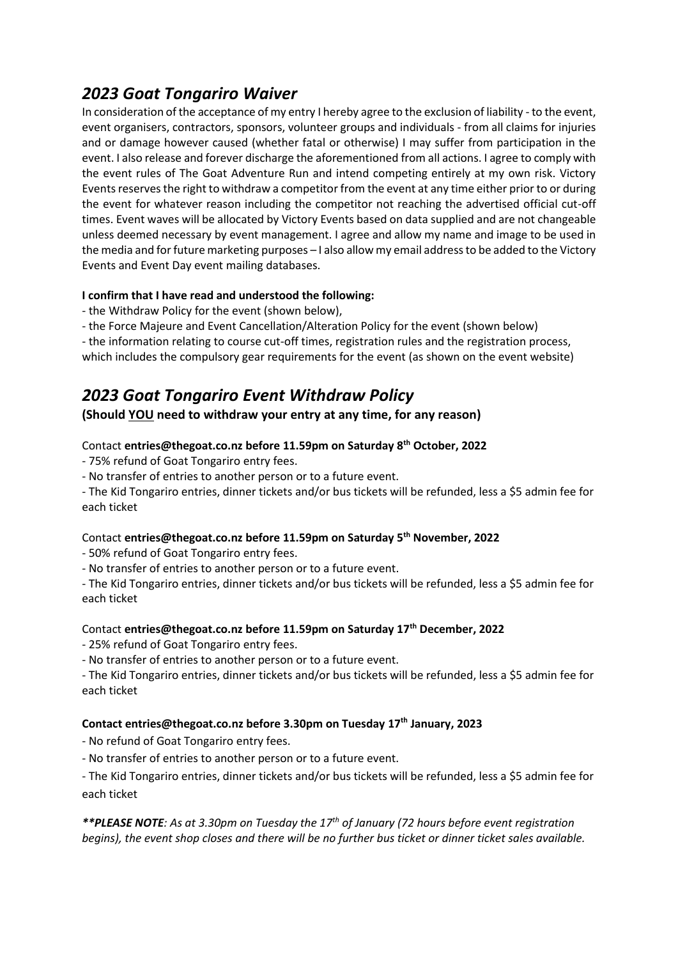# *2023 Goat Tongariro Waiver*

In consideration of the acceptance of my entry I hereby agree to the exclusion of liability - to the event, event organisers, contractors, sponsors, volunteer groups and individuals - from all claims for injuries and or damage however caused (whether fatal or otherwise) I may suffer from participation in the event. I also release and forever discharge the aforementioned from all actions. I agree to comply with the event rules of The Goat Adventure Run and intend competing entirely at my own risk. Victory Events reserves the right to withdraw a competitor from the event at any time either prior to or during the event for whatever reason including the competitor not reaching the advertised official cut-off times. Event waves will be allocated by Victory Events based on data supplied and are not changeable unless deemed necessary by event management. I agree and allow my name and image to be used in the media and for future marketing purposes – I also allow my email address to be added to the Victory Events and Event Day event mailing databases.

### **I confirm that I have read and understood the following:**

- the Withdraw Policy for the event (shown below),
- the Force Majeure and Event Cancellation/Alteration Policy for the event (shown below)

- the information relating to course cut-off times, registration rules and the registration process,

## which includes the compulsory gear requirements for the event (as shown on the event website)

# *2023 Goat Tongariro Event Withdraw Policy*

# **(Should YOU need to withdraw your entry at any time, for any reason)**

## Contact **entries@thegoat.co.nz before 11.59pm on Saturday 8th October, 2022**

- 75% refund of Goat Tongariro entry fees.

- No transfer of entries to another person or to a future event.

- The Kid Tongariro entries, dinner tickets and/or bus tickets will be refunded, less a \$5 admin fee for each ticket

#### Contact **entries@thegoat.co.nz before 11.59pm on Saturday 5th November, 2022**

- 50% refund of Goat Tongariro entry fees.

- No transfer of entries to another person or to a future event.

- The Kid Tongariro entries, dinner tickets and/or bus tickets will be refunded, less a \$5 admin fee for each ticket

#### Contact **entries@thegoat.co.nz before 11.59pm on Saturday 17th December, 2022**

- 25% refund of Goat Tongariro entry fees.

- No transfer of entries to another person or to a future event.

- The Kid Tongariro entries, dinner tickets and/or bus tickets will be refunded, less a \$5 admin fee for each ticket

#### **Contact entries@thegoat.co.nz before 3.30pm on Tuesday 17th January, 2023**

- No refund of Goat Tongariro entry fees.

- No transfer of entries to another person or to a future event.

- The Kid Tongariro entries, dinner tickets and/or bus tickets will be refunded, less a \$5 admin fee for each ticket

*\*\*PLEASE NOTE: As at 3.30pm on Tuesday the 17th of January (72 hours before event registration begins), the event shop closes and there will be no further bus ticket or dinner ticket sales available.*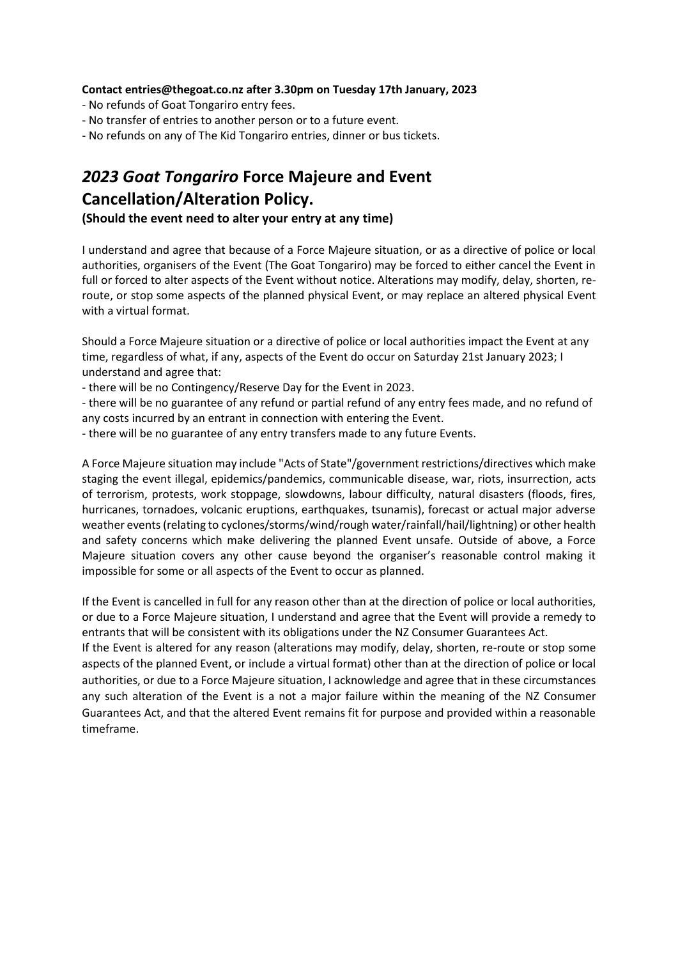#### **Contact entries@thegoat.co.nz after 3.30pm on Tuesday 17th January, 2023**

- No refunds of Goat Tongariro entry fees.
- No transfer of entries to another person or to a future event.
- No refunds on any of The Kid Tongariro entries, dinner or bus tickets.

# *2023 Goat Tongariro* **Force Majeure and Event Cancellation/Alteration Policy.**

**(Should the event need to alter your entry at any time)**

I understand and agree that because of a Force Majeure situation, or as a directive of police or local authorities, organisers of the Event (The Goat Tongariro) may be forced to either cancel the Event in full or forced to alter aspects of the Event without notice. Alterations may modify, delay, shorten, reroute, or stop some aspects of the planned physical Event, or may replace an altered physical Event with a virtual format.

Should a Force Majeure situation or a directive of police or local authorities impact the Event at any time, regardless of what, if any, aspects of the Event do occur on Saturday 21st January 2023; I understand and agree that:

- there will be no Contingency/Reserve Day for the Event in 2023.

- there will be no guarantee of any refund or partial refund of any entry fees made, and no refund of any costs incurred by an entrant in connection with entering the Event.

- there will be no guarantee of any entry transfers made to any future Events.

A Force Majeure situation may include "Acts of State"/government restrictions/directives which make staging the event illegal, epidemics/pandemics, communicable disease, war, riots, insurrection, acts of terrorism, protests, work stoppage, slowdowns, labour difficulty, natural disasters (floods, fires, hurricanes, tornadoes, volcanic eruptions, earthquakes, tsunamis), forecast or actual major adverse weather events (relating to cyclones/storms/wind/rough water/rainfall/hail/lightning) or other health and safety concerns which make delivering the planned Event unsafe. Outside of above, a Force Majeure situation covers any other cause beyond the organiser's reasonable control making it impossible for some or all aspects of the Event to occur as planned.

If the Event is cancelled in full for any reason other than at the direction of police or local authorities, or due to a Force Majeure situation, I understand and agree that the Event will provide a remedy to entrants that will be consistent with its obligations under the NZ Consumer Guarantees Act.

If the Event is altered for any reason (alterations may modify, delay, shorten, re-route or stop some aspects of the planned Event, or include a virtual format) other than at the direction of police or local authorities, or due to a Force Majeure situation, I acknowledge and agree that in these circumstances any such alteration of the Event is a not a major failure within the meaning of the NZ Consumer Guarantees Act, and that the altered Event remains fit for purpose and provided within a reasonable timeframe.